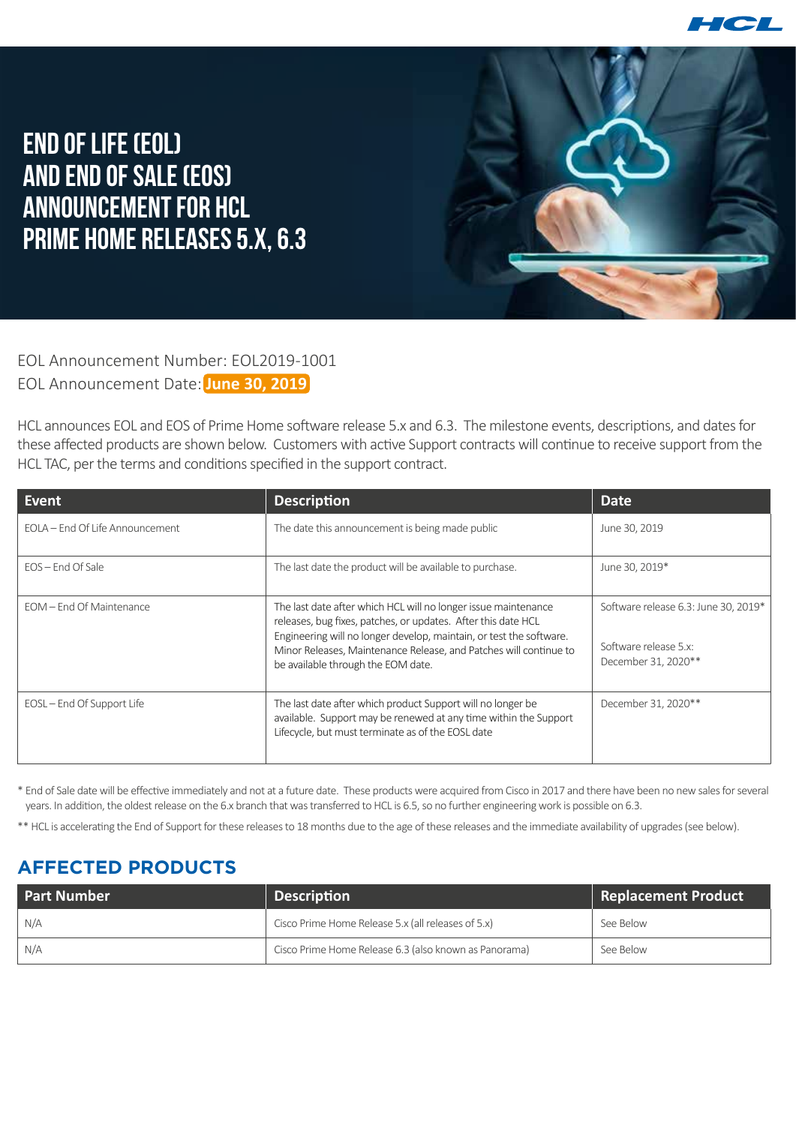

## **End of Life (EOL) and End of Sale (EOS) Announcement for HCL Prime Home Releases 5.x, 6.3**

EOL Announcement Number: EOL2019-1001 EOL Announcement Date: **June 30, 2019**

HCL announces EOL and EOS of Prime Home software release 5.x and 6.3. The milestone events, descriptions, and dates for these affected products are shown below. Customers with active Support contracts will continue to receive support from the HCL TAC, per the terms and conditions specified in the support contract.

| Event                           | <b>Description</b>                                                                                                                                                                                                                                                                                                | <b>Date</b>                                                                          |
|---------------------------------|-------------------------------------------------------------------------------------------------------------------------------------------------------------------------------------------------------------------------------------------------------------------------------------------------------------------|--------------------------------------------------------------------------------------|
| FOLA – End Of Life Announcement | The date this announcement is being made public                                                                                                                                                                                                                                                                   | June 30, 2019                                                                        |
| $EOS$ – End Of Sale             | The last date the product will be available to purchase.                                                                                                                                                                                                                                                          | June 30, 2019*                                                                       |
| EOM - End Of Maintenance        | The last date after which HCL will no longer issue maintenance<br>releases, bug fixes, patches, or updates. After this date HCL<br>Engineering will no longer develop, maintain, or test the software.<br>Minor Releases, Maintenance Release, and Patches will continue to<br>be available through the EOM date. | Software release 6.3: June 30, 2019*<br>Software release 5.x:<br>December 31, 2020** |
| EOSL – End Of Support Life      | The last date after which product Support will no longer be<br>available. Support may be renewed at any time within the Support<br>Lifecycle, but must terminate as of the EOSL date                                                                                                                              | December 31, 2020**                                                                  |

\* End of Sale date will be effective immediately and not at a future date. These products were acquired from Cisco in 2017 and there have been no new sales for several years. In addition, the oldest release on the 6.x branch that was transferred to HCL is 6.5, so no further engineering work is possible on 6.3.

\*\* HCL is accelerating the End of Support for these releases to 18 months due to the age of these releases and the immediate availability of upgrades (see below).

## **AFFECTED PRODUCTS**

| <b>Part Number</b> | <b>Description</b>                                    | <b>Replacement Product</b> |
|--------------------|-------------------------------------------------------|----------------------------|
| N/A                | Cisco Prime Home Release 5.x (all releases of 5.x)    | See Below                  |
| N/A                | Cisco Prime Home Release 6.3 (also known as Panorama) | See Below                  |